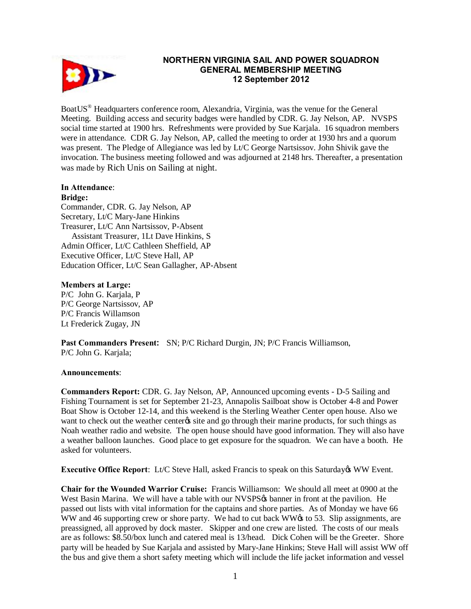

# **NORTHERN VIRGINIA SAIL AND POWER SQUADRON GENERAL MEMBERSHIP MEETING 12 September 2012**

BoatUS® Headquarters conference room, Alexandria, Virginia, was the venue for the General Meeting. Building access and security badges were handled by CDR. G. Jay Nelson, AP. NVSPS social time started at 1900 hrs. Refreshments were provided by Sue Karjala. 16 squadron members were in attendance. CDR G. Jay Nelson, AP, called the meeting to order at 1930 hrs and a quorum was present. The Pledge of Allegiance was led by Lt/C George Nartsissov. John Shivik gave the invocation. The business meeting followed and was adjourned at 2148 hrs. Thereafter, a presentation was made by Rich Unis on Sailing at night.

#### **In Attendance**: **Bridge:**

Commander, CDR. G. Jay Nelson, AP Secretary, Lt/C Mary-Jane Hinkins Treasurer, Lt/C Ann Nartsissov, P-Absent Assistant Treasurer, 1Lt Dave Hinkins, S Admin Officer, Lt/C Cathleen Sheffield, AP Executive Officer, Lt/C Steve Hall, AP Education Officer, Lt/C Sean Gallagher, AP-Absent

# **Members at Large:**

P/C John G. Karjala, P P/C George Nartsissov, AP P/C Francis Willamson Lt Frederick Zugay, JN

**Past Commanders Present:** SN; P/C Richard Durgin, JN; P/C Francis Williamson, P/C John G. Karjala;

# **Announcements**:

**Commanders Report:** CDR. G. Jay Nelson, AP, Announced upcoming events - D-5 Sailing and Fishing Tournament is set for September 21-23, Annapolis Sailboat show is October 4-8 and Power Boat Show is October 12-14, and this weekend is the Sterling Weather Center open house. Also we want to check out the weather center os site and go through their marine products, for such things as Noah weather radio and website. The open house should have good information. They will also have a weather balloon launches. Good place to get exposure for the squadron. We can have a booth. He asked for volunteers.

**Executive Office Report:** Lt/C Steve Hall, asked Francis to speak on this Saturday & WW Event.

**Chair for the Wounded Warrior Cruise:** Francis Williamson: We should all meet at 0900 at the West Basin Marina. We will have a table with our NVSPS to banner in front at the pavilion. He passed out lists with vital information for the captains and shore parties. As of Monday we have 66 WW and 46 supporting crew or shore party. We had to cut back WW $\alpha$  to 53. Slip assignments, are preassigned, all approved by dock master. Skipper and one crew are listed. The costs of our meals are as follows: \$8.50/box lunch and catered meal is 13/head. Dick Cohen will be the Greeter. Shore party will be headed by Sue Karjala and assisted by Mary-Jane Hinkins; Steve Hall will assist WW off the bus and give them a short safety meeting which will include the life jacket information and vessel